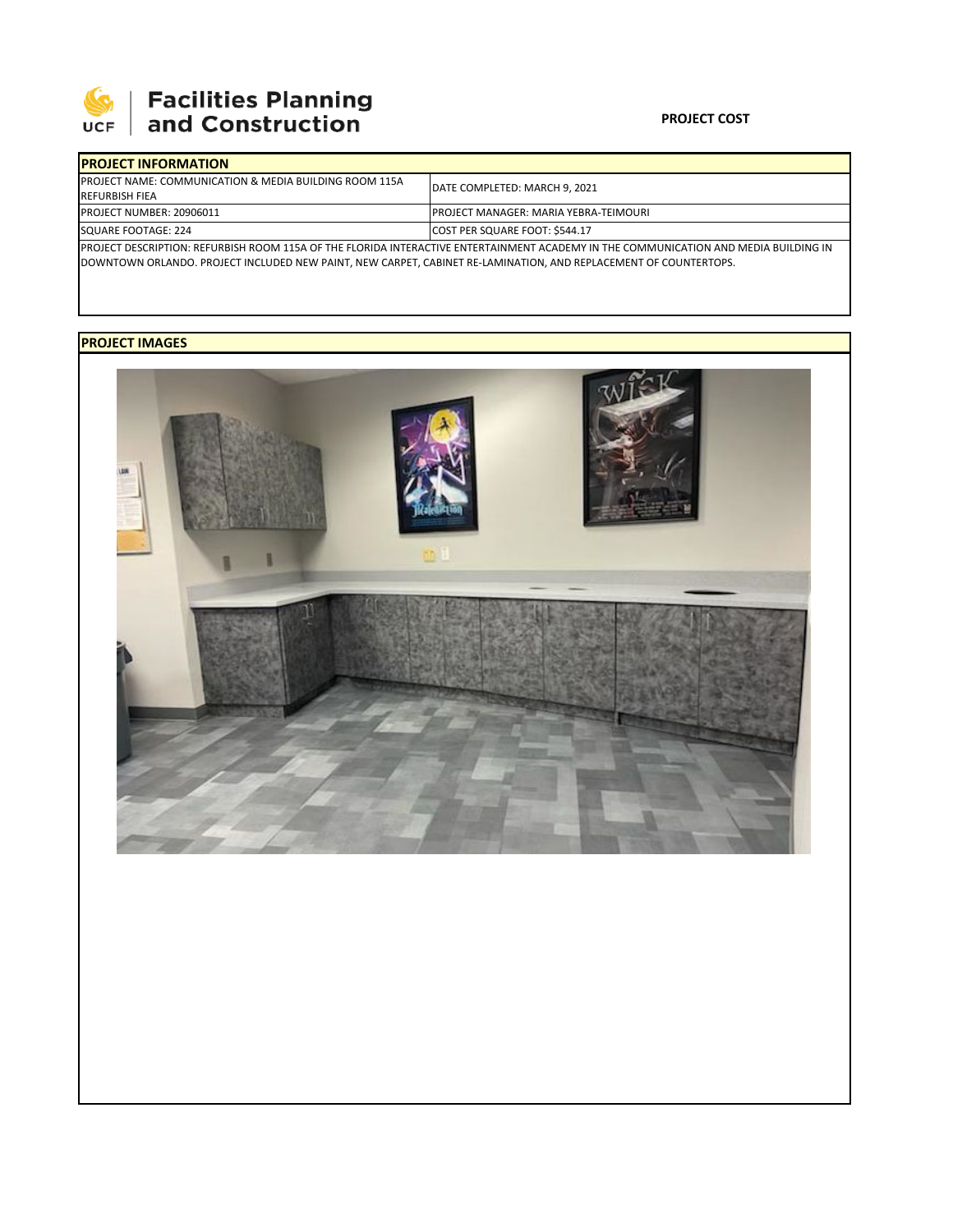

# **SEPTE AND Facilities Planning**<br>UCF and Construction

### **PROJECT COST**

| <b>IPROJECT INFORMATION</b>                                                                                                          |                                               |  |  |  |
|--------------------------------------------------------------------------------------------------------------------------------------|-----------------------------------------------|--|--|--|
| <b>IPROJECT NAME: COMMUNICATION &amp; MEDIA BUILDING ROOM 115A</b>                                                                   | <b>IDATE COMPLETED: MARCH 9. 2021</b>         |  |  |  |
| <b>REFURBISH FIEA</b>                                                                                                                |                                               |  |  |  |
| <b>PROJECT NUMBER: 20906011</b>                                                                                                      | <b>IPROJECT MANAGER: MARIA YEBRA-TEIMOURI</b> |  |  |  |
| <b>SQUARE FOOTAGE: 224</b>                                                                                                           | COST PER SQUARE FOOT: \$544.17                |  |  |  |
| PROJECT DESCRIPTION: REFURBISH ROOM 115A OF THE FLORIDA INTERACTIVE ENTERTAINMENT ACADEMY IN THE COMMUNICATION AND MEDIA BUILDING IN |                                               |  |  |  |

DOWNTOWN ORLANDO. PROJECT INCLUDED NEW PAINT, NEW CARPET, CABINET RE‐LAMINATION, AND REPLACEMENT OF COUNTERTOPS.

## **PROJECT IMAGES**